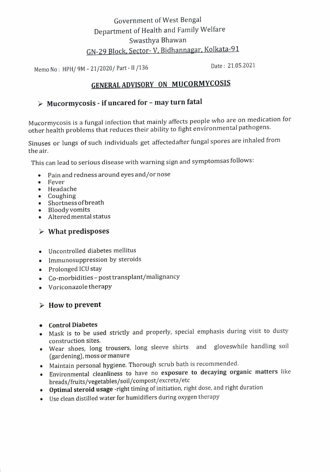## Government of West Bengal Department of Health and Family Welfare Swasthya Bhawan GN-29 Block, Sector- V, Bidhannagar, Kolkata-91

Date: 21.05.2021 Memo No: HPH/ 9M -21/2020/ Part -I1/136

## GENERAL ADVISORY ON MUCORMYCOSIS

# $\triangleright$  Mucormycosis - if uncared for – may turn fatal

Mucormycosis is a fungal infection that mainly affects people who are on medication for other health problems that reduces their ability to fight environmental pathogens.

Sinuses or lungs of such individuals get affectedafter fungal spores are inhaled from the air

This can lead to serious disease with warning sign and symptomsas follows

- Pain and redness around eyes and/or nose  $\bullet$
- Fever
- Headache
- Coughing
- Shortness of breath
- Bloody vomits
- Altered mental status

#### $\triangleright$  What predisposes

- Uncontrolled diabetes mellitus
- Immunosuppression by steroids
- Prolonged ICU stay
- Co-morbidities post transplant/malignancy
- Voriconazole therapy

#### $\triangleright$  How to prevent

- Control Diabetes
- Mask is to be used strictly and properly, special emphasis during visit to dusty construction sites.
- vear shoes, long trousers, long sleeve shirts and gloveswhile handling soil (gardening), moss or manure
- Maintain personal hygiene. Thorough scrub bath is recommended.
- Environmental cleanliness to have no exposure to decaying organic matters like breads/fruits/vegetables/soil/compost/excreta/etc
- Optimal steroid usage -right timing of initiation, right dose, and right duration
- Use clean distilled water for humidifiers during oxygen therapy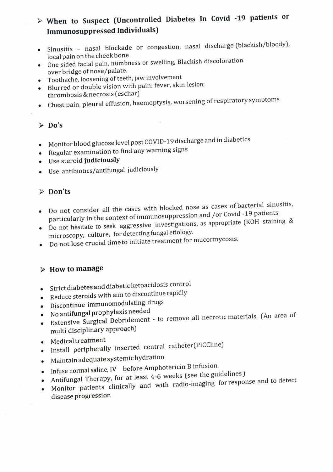# When to Suspect (Uncontrolled Diabetes In Covid -19 patients or Immunosuppressed Individuals)

- Sinusitis nasal blockade or congestion, nasal discharge (blackish/bloody), local pain on the cheekbone
- One sided facial pain, numbness or swelling, Blackish discoloration over bridge of nose/palate.
- Toothache, loosening of teeth, jaw involvement
- Blurred or double vision with pain; fever, skin lesion; thrombosis & necrosis (eschar)
- Chest pain, pleural effusion, haemoptysis, worsening of respiratory symptoms

#### $\triangleright$  Do's

- Monitor blood glucose level post COVID-19 discharge and in diabetics
- Regular examination to find any warning signs
- Use steroid judiciously
- Use antibiotics/antifungal judiciously

### Don'ts

- Do not consider all the cases with blocked nose as cases of bacterial sinusitis, particularly in the context of immunosuppression and /or Covid -19 patients.
- Do not hesitate to seek aggressive investigations, as appropriate (KOH staining & microscopy, culture, for detecting fungal etiology.
- Do not lose crucial time to initiate treatment for mucormycosis.

## $\triangleright$  How to manage

- Strict diabetes and diabetic ketoacidosis control
- .Reduce steroids with aim to discontinue rapidly
- Discontinue immunomodulating drugs
- .No antifungal prophylaxis needed
- Extensive Surgical Debridement to remove all necrotic materials. (An area of multi disciplinary approach)
- Medical treatment
- Install peripherally inserted central catheter(PICCline)
- Maintain adequate systemic hydration
- Infuse normal saline, IV before Amphotericin B infusion.
- Antifungal Therapy, for at least 4-6 weeks (see the guidelines)
- Monitor patients clinically and with radio-imaging for response and to detect disease progression